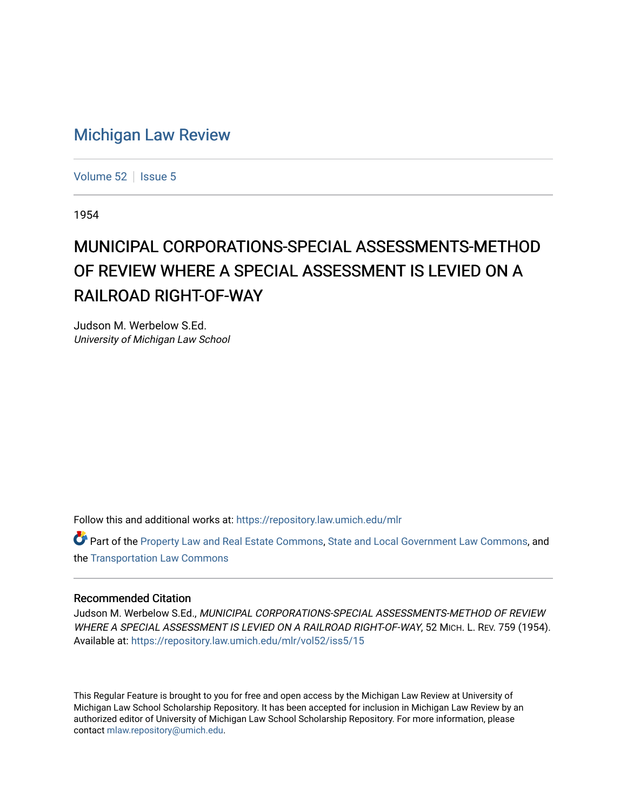## [Michigan Law Review](https://repository.law.umich.edu/mlr)

[Volume 52](https://repository.law.umich.edu/mlr/vol52) | [Issue 5](https://repository.law.umich.edu/mlr/vol52/iss5)

1954

## MUNICIPAL CORPORATIONS-SPECIAL ASSESSMENTS-METHOD OF REVIEW WHERE A SPECIAL ASSESSMENT IS LEVIED ON A RAILROAD RIGHT-OF-WAY

Judson M. Werbelow S.Ed. University of Michigan Law School

Follow this and additional works at: [https://repository.law.umich.edu/mlr](https://repository.law.umich.edu/mlr?utm_source=repository.law.umich.edu%2Fmlr%2Fvol52%2Fiss5%2F15&utm_medium=PDF&utm_campaign=PDFCoverPages) 

Part of the [Property Law and Real Estate Commons,](http://network.bepress.com/hgg/discipline/897?utm_source=repository.law.umich.edu%2Fmlr%2Fvol52%2Fiss5%2F15&utm_medium=PDF&utm_campaign=PDFCoverPages) [State and Local Government Law Commons](http://network.bepress.com/hgg/discipline/879?utm_source=repository.law.umich.edu%2Fmlr%2Fvol52%2Fiss5%2F15&utm_medium=PDF&utm_campaign=PDFCoverPages), and the [Transportation Law Commons](http://network.bepress.com/hgg/discipline/885?utm_source=repository.law.umich.edu%2Fmlr%2Fvol52%2Fiss5%2F15&utm_medium=PDF&utm_campaign=PDFCoverPages)

## Recommended Citation

Judson M. Werbelow S.Ed., MUNICIPAL CORPORATIONS-SPECIAL ASSESSMENTS-METHOD OF REVIEW WHERE A SPECIAL ASSESSMENT IS LEVIED ON A RAILROAD RIGHT-OF-WAY, 52 MICH. L. REV. 759 (1954). Available at: [https://repository.law.umich.edu/mlr/vol52/iss5/15](https://repository.law.umich.edu/mlr/vol52/iss5/15?utm_source=repository.law.umich.edu%2Fmlr%2Fvol52%2Fiss5%2F15&utm_medium=PDF&utm_campaign=PDFCoverPages) 

This Regular Feature is brought to you for free and open access by the Michigan Law Review at University of Michigan Law School Scholarship Repository. It has been accepted for inclusion in Michigan Law Review by an authorized editor of University of Michigan Law School Scholarship Repository. For more information, please contact [mlaw.repository@umich.edu](mailto:mlaw.repository@umich.edu).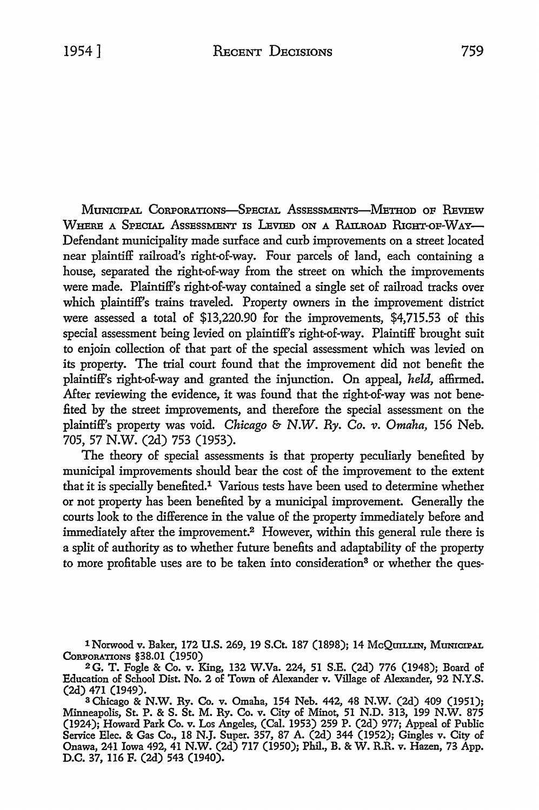MUNICIPAL CORPORATIONS-SPECIAL ASSESSMENTS-METHOD OF REVIEW WHERE A SPECIAL ASSESSMENT IS LEVIED ON A RAILROAD RIGHT-OF-WAY-Defendant municipality made surface and curb improvements on a street located near plaintiff railroad's right-of-way. Four parcels of land, each containing a house, separated the right-of-way from the street on which the improvements were made. Plaintiff's right-of-way contained a single set of railroad tracks over which plaintiff's trains traveled. Property owners in the improvement district were assessed a total of \$13,220.90 for the improvements, \$4,715.53 of this special assessment being levied on plaintiff's right-of-way. Plaintiff brought suit to enjoin collection of that part of the special assessment which was levied on its property. The trial court found that the improvement did not benefit the plaintiff's right-of-way and granted the injunction. On appeal, *held,* affirmed. After reviewing the evidence, it was found that the right-of-way was not benefited by the street improvements, and therefore the special assessment on the plaintiff's property was void. *Chicago* & *N.W. Ry.* Co. *v. Omaha,* 156 Neb. 705, 57 N.W. (2d) 753 (1953).

The theory of special assessments is that property peculiarly benefited by municipal improvements should bear the cost of the improvement to the extent that it is specially benefited.1 Various tests have been used to determine whether or not property has been benefited by a municipal improvement. Generally the courts look to the difference in the value of the property immediately before and immediately after the improvement.<sup>2</sup> However, within this general rule there is a split of authority as to whether future benefits and adaptability of the property to more profitable uses are to be taken into consideration<sup>3</sup> or whether the ques-

lNorwood v. Baker, 172 **U.S.** 269, 19 S.Ct. 187 (1898); 14 McQUILLIN, MUNICIPAL CORPORATIONS §38.01 (1950)

<sup>2</sup>G. T. Fogle & Co. v. King, 132 W.Va. 224, 51 S.E. (2d) 776 (1948); Board of Education of School Dist. No. 2 of Town of Alexander v. Village of Alexander, 92 N.Y.S.

<sup>(2</sup>d) 471 (1949).<br><sup>3</sup> Chicago & N.W. Ry. Co. v. Omaha, 154 Neb. 442, 48 N.W. (2d) 409 (1951); Minneapolis, St. P. & S. St. M. Ry. Co. v. City of Minot, 51 N.D. 313, 199 N.W. 875 (1924); Howard Park Co. v. Los Angeles, (Cal. 1953) 259 P. (2d) 977; Appeal of Public Service Elec. & Gas Co., 18 N.J. Super. 357, 87 A. (2d) 344 (1952); Gingles v. City of Onawa, 241 Iowa 492, 41 N.W. (2d) 717 (1950); Phil., B. & W. R.R. v. Hazen, 73 App. D.C. 37, 116 F. (2d) 543 (1940).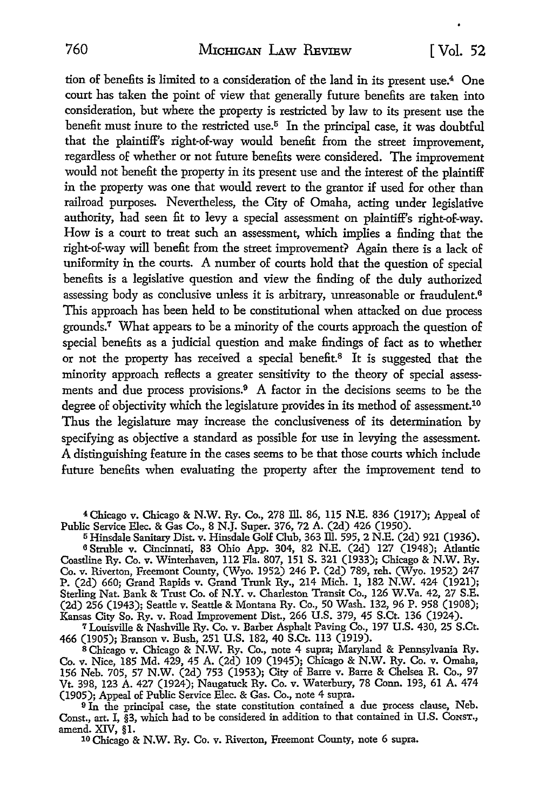tion of benefits is limited to a consideration of the land in its present use.4 One court has taken the point of view that generally future benefits are taken into consideration, but where the property is restricted by law to its present use the benefit must inure to the restricted use.5 **In** the principal case, it was doubtful that the plaintiff's right-of-way would benefit from the street improvement, regardless of whether or not future benefits were considered. The improvement would not benefit the property in its present use and the interest of the plaintiff in the property was one that would revert to the grantor if used for other than railroad purposes. Nevertheless, the City of Omaha, acting under legislative authority, had seen fit to levy a special assessment on plaintiff's right-of-way. How is a court to treat such an assessment, which implies a finding that the right-of-way will benefit from the street improvement? Again there is a lack of uniformity in the courts. A number of courts hold that the question of special benefits is a legislative question and view the finding of the duly authorized assessing body as conclusive unless it is arbitrary, unreasonable or fraudulent.<sup>6</sup> This approach has been held to be constitutional when attacked on due process grounds.<sup>7</sup> What appears to be a minority of the courts approach the question of special benefits as a judicial question and make findings of fact as to whether or not the property has received a special benefit.<sup>8</sup> It is suggested that the minority approach reflects a greater sensitivity to the theory of special assessments and due process provisions.<sup>9</sup> A factor in the decisions seems to be the degree of objectivity which the legislature provides in its method of assessment.<sup>10</sup> Thus the legislature may increase the conclusiveness of its determination by specifying as objective a standard as possible for use in levying the assessment. A distinguishing feature in the cases seems to be that those courts which include future benefits when evaluating the property after the improvement tend to

4Chicago v. Chicago & N.W. Ry. Co., 278 lli. 86, 115 N.E. 836 (1917); Appeal of Public Service Elec. & Gas Co., 8 N.J. Super. 376, 72 A. (2d) 426 (1950).

<sup>5</sup>Hinsdale Sanitary Dist. v. Hinsdale Golf Club, 363 lli. 595, 2 N.E. (2d) 921 (1936). <sup>6</sup>Struble v. Cincinnati, 83 Ohio App. 304, 82 N.E. (2d) 127 (1948); Atlantic Coastline Ry. Co. v. Winterhaven, 112 Fla. 807, 151 S. 321 (1933); Chicago & N.W. Ry. Co. v. Riverton, Freemont County, (Wyo. 1952) 246 P. (2d) 789, reh. (Wyo. 1952) 247 P. (2d) 660; Grand Rapids v. Grand Trunk Ry., 214 Mich. 1, 182 N.W. 424 (1921); Sterling Nat. Bank & Trust Co. of N.Y. v. Charleston Transit Co., 126 W.Va. 42, 27 S.E. (2d) 256 (1943); Seattle v. Seattle & Montana Ry. Co., 50 Wash. 132, 96 P. 958 (1908); Kansas City So. Ry. v. Road Improvement Dist., 266 U.S. 379, 45 S.Ct. 136 (1924).

*1* Louisville & Nashville Ry. Co. v. Barber Asphalt Paving Co., 197 U.S. 430, 25 S.Ct. 466 (1905); Branson v. Bush, 251 U.S. 182, 40 S.Ct. 113 (1919).

s Chicago v. Chicago & N.W. Ry. Co., note 4 supra; Maryland & Pennsylvania Ry. Co. v. Nice, 185 Md. 429, 45 A. (2d) 109 (1945); Chicago & N.W. Ry. Co. v. Omaha, 156 Neb. 705, 57 N.W. (2d) 753 (1953); City of Barre v. Barre & Chelsea R. Co., 97 Vt. 398, 123 A. 427 (1924); Naugatuck Ry. Co. v. Waterbury, 78 Conn. 193, 61 A. 474 (1905); Appeal of Public Service Blee. & Gas. Co., note 4 supra.

<sup>9</sup>In the principal case, the state constitution contained a due process clause, Neb. Const., art. I, §3, which had *to* be considered in addition to that contained in U.S. CoNST.,

amend. XIV, §1. 10 Chicago & N.W. Ry. Co. v. Riverton, Freemont County, note 6 supra.